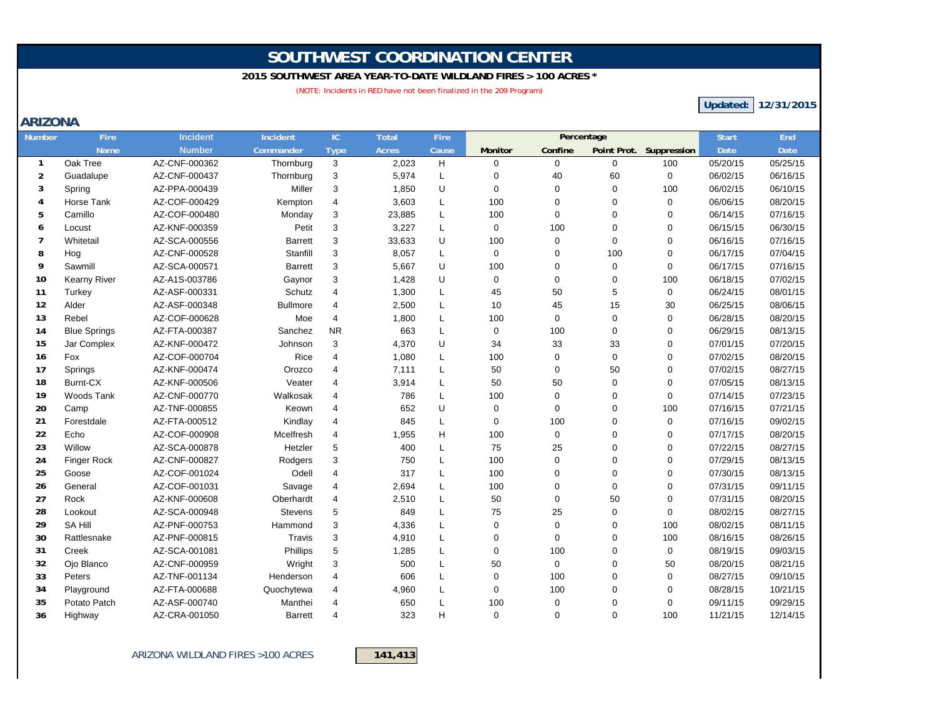# **SOUTHWEST COORDINATION CENTER**

#### **2015 SOUTHWEST AREA YEAR-TO-DATE WILDLAND FIRES > 100 ACRES \***

(NOTE: Incidents in RED have not been finalized in the 209 Program)

**Updated: 12/31/2015**

### **ARIZONA**

| Number         | Fire                | Incident      | Incident        | IC                        | <b>Total</b> | Fire  |             | Percentage     |             |                         | <b>Start</b> | End         |
|----------------|---------------------|---------------|-----------------|---------------------------|--------------|-------|-------------|----------------|-------------|-------------------------|--------------|-------------|
|                | <b>Name</b>         | <b>Number</b> | Commander       | Type                      | <b>Acres</b> | Cause | Monitor     | Confine        |             | Point Prot. Suppression | Date         | <b>Date</b> |
| $\mathbf{1}$   | Oak Tree            | AZ-CNF-000362 | Thornburg       | 3                         | 2,023        | H     | $\mathbf 0$ | $\mathbf 0$    | $\Omega$    | 100                     | 05/20/15     | 05/25/15    |
| $\overline{2}$ | Guadalupe           | AZ-CNF-000437 | Thornburg       | 3                         | 5,974        | L     | $\mathbf 0$ | 40             | 60          | $\mathbf 0$             | 06/02/15     | 06/16/15    |
| 3              | Spring              | AZ-PPA-000439 | Miller          | 3                         | 1,850        | U     | $\mathbf 0$ | $\mathbf 0$    | $\Omega$    | 100                     | 06/02/15     | 06/10/15    |
| 4              | Horse Tank          | AZ-COF-000429 | Kempton         | $\overline{4}$            | 3,603        | L     | 100         | $\mathbf 0$    | $\Omega$    | 0                       | 06/06/15     | 08/20/15    |
| 5              | Camillo             | AZ-COF-000480 | Monday          | 3                         | 23,885       | L     | 100         | $\mathbf 0$    | $\Omega$    | $\Omega$                | 06/14/15     | 07/16/15    |
| 6              | Locust              | AZ-KNF-000359 | Petit           | 3                         | 3,227        | L     | $\mathbf 0$ | 100            | $\Omega$    | $\Omega$                | 06/15/15     | 06/30/15    |
| $\overline{7}$ | Whitetail           | AZ-SCA-000556 | <b>Barrett</b>  | 3                         | 33,633       | U     | 100         | $\mathbf 0$    | $\Omega$    | 0                       | 06/16/15     | 07/16/15    |
| 8              | Hog                 | AZ-CNF-000528 | Stanfill        | 3                         | 8,057        | L     | $\mathbf 0$ | 0              | 100         | $\Omega$                | 06/17/15     | 07/04/15    |
| 9              | Sawmill             | AZ-SCA-000571 | <b>Barrett</b>  | 3                         | 5,667        | U     | 100         | $\mathbf 0$    | $\mathbf 0$ | $\mathbf 0$             | 06/17/15     | 07/16/15    |
| 10             | <b>Kearny River</b> | AZ-A1S-003786 | Gaynor          | $\ensuremath{\mathsf{3}}$ | 1,428        | U     | $\mathbf 0$ | $\mathbf 0$    | 0           | 100                     | 06/18/15     | 07/02/15    |
| 11             | Turkey              | AZ-ASF-000331 | Schutz          | $\overline{4}$            | 1,300        | L     | 45          | 50             | 5           | $\mathbf 0$             | 06/24/15     | 08/01/15    |
| 12             | Alder               | AZ-ASF-000348 | <b>Bullmore</b> | $\overline{4}$            | 2,500        | L     | 10          | 45             | 15          | 30                      | 06/25/15     | 08/06/15    |
| 13             | Rebel               | AZ-COF-000628 | Moe             | $\overline{4}$            | 1,800        | L     | 100         | $\mathbf 0$    | $\mathbf 0$ | $\mathbf 0$             | 06/28/15     | 08/20/15    |
| 14             | <b>Blue Springs</b> | AZ-FTA-000387 | Sanchez         | <b>NR</b>                 | 663          | L     | $\mathbf 0$ | 100            | $\mathbf 0$ | $\mathbf 0$             | 06/29/15     | 08/13/15    |
| 15             | Jar Complex         | AZ-KNF-000472 | Johnson         | 3                         | 4,370        | U     | 34          | 33             | 33          | $\Omega$                | 07/01/15     | 07/20/15    |
| 16             | Fox                 | AZ-COF-000704 | Rice            | $\overline{4}$            | 1,080        | L     | 100         | $\mathbf 0$    | $\Omega$    | $\Omega$                | 07/02/15     | 08/20/15    |
| 17             | Springs             | AZ-KNF-000474 | Orozco          | $\overline{4}$            | 7,111        | L     | 50          | $\mathbf 0$    | 50          | $\Omega$                | 07/02/15     | 08/27/15    |
| 18             | Burnt-CX            | AZ-KNF-000506 | Veater          | $\overline{4}$            | 3,914        | L     | 50          | 50             | $\Omega$    | $\Omega$                | 07/05/15     | 08/13/15    |
| 19             | Woods Tank          | AZ-CNF-000770 | Walkosak        | $\overline{4}$            | 786          | L     | 100         | $\mathbf 0$    | $\Omega$    | $\mathbf 0$             | 07/14/15     | 07/23/15    |
| 20             | Camp                | AZ-TNF-000855 | Keown           | 4                         | 652          | U     | $\mathbf 0$ | $\mathbf 0$    | $\Omega$    | 100                     | 07/16/15     | 07/21/15    |
| 21             | Forestdale          | AZ-FTA-000512 | Kindlay         | $\overline{4}$            | 845          | L     | $\mathbf 0$ | 100            | $\Omega$    | $\Omega$                | 07/16/15     | 09/02/15    |
| 22             | Echo                | AZ-COF-000908 | Mcelfresh       | $\overline{4}$            | 1,955        | H     | 100         | $\mathbf 0$    | $\Omega$    | $\Omega$                | 07/17/15     | 08/20/15    |
| 23             | Willow              | AZ-SCA-000878 | Hetzler         | 5                         | 400          | L     | 75          | 25             | $\Omega$    | $\Omega$                | 07/22/15     | 08/27/15    |
| 24             | <b>Finger Rock</b>  | AZ-CNF-000827 | Rodgers         | 3                         | 750          | L     | 100         | $\mathbf 0$    | $\Omega$    | $\Omega$                | 07/29/15     | 08/13/15    |
| 25             | Goose               | AZ-COF-001024 | Odell           | $\overline{4}$            | 317          | L     | 100         | $\overline{0}$ | $\Omega$    | $\Omega$                | 07/30/15     | 08/13/15    |
| 26             | General             | AZ-COF-001031 | Savage          | $\overline{4}$            | 2,694        | L     | 100         | $\mathbf 0$    | $\mathbf 0$ | $\Omega$                | 07/31/15     | 09/11/15    |
| 27             | Rock                | AZ-KNF-000608 | Oberhardt       | $\overline{4}$            | 2,510        | L     | 50          | $\mathbf 0$    | 50          | $\Omega$                | 07/31/15     | 08/20/15    |
| 28             | Lookout             | AZ-SCA-000948 | <b>Stevens</b>  | 5                         | 849          | L     | 75          | 25             | $\Omega$    | $\Omega$                | 08/02/15     | 08/27/15    |
| 29             | <b>SA Hill</b>      | AZ-PNF-000753 | Hammond         | 3                         | 4,336        | L     | $\mathbf 0$ | $\mathbf 0$    | $\Omega$    | 100                     | 08/02/15     | 08/11/15    |
| 30             | Rattlesnake         | AZ-PNF-000815 | Travis          | 3                         | 4,910        | L     | $\mathbf 0$ | $\mathbf 0$    | $\Omega$    | 100                     | 08/16/15     | 08/26/15    |
| 31             | Creek               | AZ-SCA-001081 | Phillips        | 5                         | 1,285        | L     | $\mathbf 0$ | 100            | $\Omega$    | 0                       | 08/19/15     | 09/03/15    |
| 32             | Ojo Blanco          | AZ-CNF-000959 | Wright          | 3                         | 500          | L     | 50          | $\mathbf 0$    | $\Omega$    | 50                      | 08/20/15     | 08/21/15    |
| 33             | Peters              | AZ-TNF-001134 | Henderson       | $\overline{4}$            | 606          | L     | $\mathbf 0$ | 100            | $\Omega$    | $\Omega$                | 08/27/15     | 09/10/15    |
| 34             | Playground          | AZ-FTA-000688 | Quochytewa      | 4                         | 4,960        | L     | $\mathbf 0$ | 100            | $\Omega$    | $\Omega$                | 08/28/15     | 10/21/15    |
| 35             | Potato Patch        | AZ-ASF-000740 | Manthei         | $\overline{4}$            | 650          | L     | 100         | $\mathbf 0$    | $\Omega$    | $\Omega$                | 09/11/15     | 09/29/15    |
| 36             | Highway             | AZ-CRA-001050 | <b>Barrett</b>  | $\Delta$                  | 323          | H     | $\mathbf 0$ | $\Omega$       | $\Omega$    | 100                     | 11/21/15     | 12/14/15    |